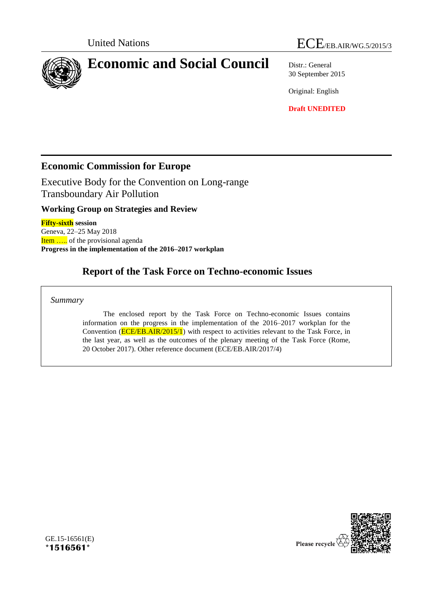

30 September 2015

Original: English

**Draft UNEDITED**

## **Economic Commission for Europe**

Executive Body for the Convention on Long-range Transboundary Air Pollution

**Working Group on Strategies and Review**

**Fifty-sixth session** Geneva, 22–25 May 2018 Item ..... of the provisional agenda **Progress in the implementation of the 2016–2017 workplan**

# **Report of the Task Force on Techno-economic Issues**

*Summary*

The enclosed report by the Task Force on Techno-economic Issues contains information on the progress in the implementation of the 2016–2017 workplan for the Convention ( $\overline{ECE/EB.AIR/2015/1}$ ) with respect to activities relevant to the Task Force, in the last year, as well as the outcomes of the plenary meeting of the Task Force (Rome, 20 October 2017). Other reference document (ECE/EB.AIR/2017/4)



GE.15-16561(E) **\*1516561\***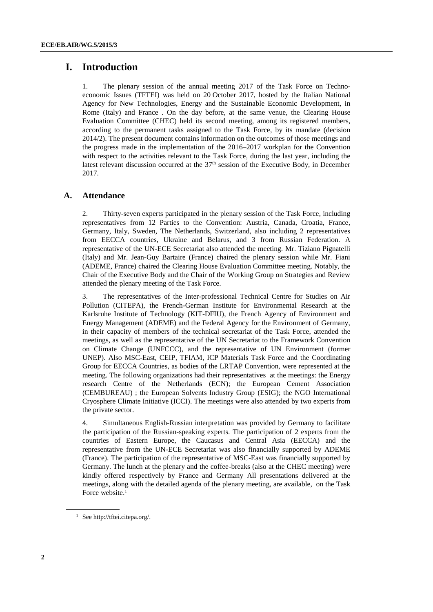## **I. Introduction**

1. The plenary session of the annual meeting 2017 of the Task Force on Technoeconomic Issues (TFTEI) was held on 20 October 2017, hosted by the Italian National Agency for New Technologies, Energy and the Sustainable Economic Development, in Rome (Italy) and France . On the day before, at the same venue, the Clearing House Evaluation Committee (CHEC) held its second meeting, among its registered members, according to the permanent tasks assigned to the Task Force, by its mandate (decision 2014/2). The present document contains information on the outcomes of those meetings and the progress made in the implementation of the 2016–2017 workplan for the Convention with respect to the activities relevant to the Task Force, during the last year, including the latest relevant discussion occurred at the  $37<sup>th</sup>$  session of the Executive Body, in December 2017.

## **A. Attendance**

2. Thirty-seven experts participated in the plenary session of the Task Force, including representatives from 12 Parties to the Convention: Austria, Canada, Croatia, France, Germany, Italy, Sweden, The Netherlands, Switzerland, also including 2 representatives from EECCA countries, Ukraine and Belarus, and 3 from Russian Federation. A representative of the UN-ECE Secretariat also attended the meeting. Mr. Tiziano Pignatelli (Italy) and Mr. Jean-Guy Bartaire (France) chaired the plenary session while Mr. Fiani (ADEME, France) chaired the Clearing House Evaluation Committee meeting. Notably, the Chair of the Executive Body and the Chair of the Working Group on Strategies and Review attended the plenary meeting of the Task Force.

3. The representatives of the Inter-professional Technical Centre for Studies on Air Pollution (CITEPA), the French-German Institute for Environmental Research at the Karlsruhe Institute of Technology (KIT-DFIU), the French Agency of Environment and Energy Management (ADEME) and the Federal Agency for the Environment of Germany, in their capacity of members of the technical secretariat of the Task Force, attended the meetings, as well as the representative of the UN Secretariat to the Framework Convention on Climate Change (UNFCCC), and the representative of UN Environment (former UNEP). Also MSC-East, CEIP, TFIAM, ICP Materials Task Force and the Coordinating Group for EECCA Countries, as bodies of the LRTAP Convention, were represented at the meeting. The following organizations had their representatives at the meetings: the Energy research Centre of the Netherlands (ECN); the European Cement Association (CEMBUREAU) ; the European Solvents Industry Group (ESIG); the NGO International Cryosphere Climate Initiative (ICCI). The meetings were also attended by two experts from the private sector.

4. Simultaneous English-Russian interpretation was provided by Germany to facilitate the participation of the Russian-speaking experts. The participation of 2 experts from the countries of Eastern Europe, the Caucasus and Central Asia (EECCA) and the representative from the UN-ECE Secretariat was also financially supported by ADEME (France). The participation of the representative of MSC-East was financially supported by Germany. The lunch at the plenary and the coffee-breaks (also at the CHEC meeting) were kindly offered respectively by France and Germany All presentations delivered at the meetings, along with the detailed agenda of the plenary meeting, are available, on the Task Force website. 1

<sup>1</sup> See [http://tftei.citepa.org/.](http://tftei.citepa.org/)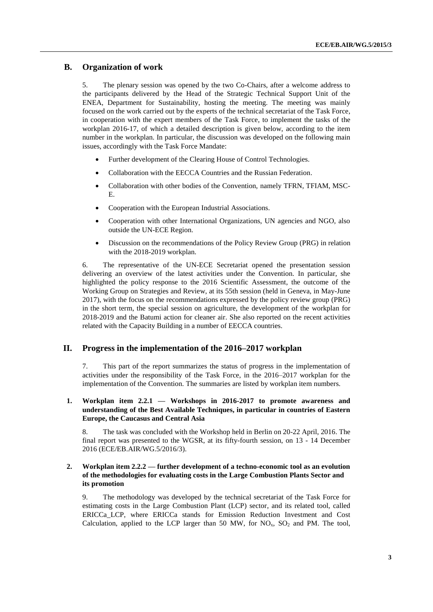## **B. Organization of work**

5. The plenary session was opened by the two Co-Chairs, after a welcome address to the participants delivered by the Head of the Strategic Technical Support Unit of the ENEA, Department for Sustainability, hosting the meeting. The meeting was mainly focused on the work carried out by the experts of the technical secretariat of the Task Force, in cooperation with the expert members of the Task Force, to implement the tasks of the workplan 2016-17, of which a detailed description is given below, according to the item number in the workplan. In particular, the discussion was developed on the following main issues, accordingly with the Task Force Mandate:

- Further development of the Clearing House of Control Technologies.
- Collaboration with the EECCA Countries and the Russian Federation.
- Collaboration with other bodies of the Convention, namely TFRN, TFIAM, MSC-E.
- Cooperation with the European Industrial Associations.
- Cooperation with other International Organizations, UN agencies and NGO, also outside the UN-ECE Region.
- Discussion on the recommendations of the Policy Review Group (PRG) in relation with the 2018-2019 workplan.

6. The representative of the UN-ECE Secretariat opened the presentation session delivering an overview of the latest activities under the Convention. In particular, she highlighted the policy response to the 2016 Scientific Assessment, the outcome of the Working Group on Strategies and Review, at its 55th session (held in Geneva, in May-June 2017), with the focus on the recommendations expressed by the policy review group (PRG) in the short term, the special session on agriculture, the development of the workplan for 2018-2019 and the Batumi action for cleaner air. She also reported on the recent activities related with the Capacity Building in a number of EECCA countries.

## **II. Progress in the implementation of the 2016–2017 workplan**

7. This part of the report summarizes the status of progress in the implementation of activities under the responsibility of the Task Force, in the 2016–2017 workplan for the implementation of the Convention. The summaries are listed by workplan item numbers.

#### **1. Workplan item 2.2.1 — Workshops in 2016-2017 to promote awareness and understanding of the Best Available Techniques, in particular in countries of Eastern Europe, the Caucasus and Central Asia**

8. The task was concluded with the Workshop held in Berlin on 20-22 April, 2016. The final report was presented to the WGSR, at its fifty-fourth session, on 13 - 14 December 2016 (ECE/EB.AIR/WG.5/2016/3).

#### **2. Workplan item 2.2.2 — further development of a techno-economic tool as an evolution of the methodologies for evaluating costs in the Large Combustion Plants Sector and its promotion**

9. The methodology was developed by the technical secretariat of the Task Force for estimating costs in the Large Combustion Plant (LCP) sector, and its related tool, called ERICCa\_LCP, where ERICCa stands for Emission Reduction Investment and Cost Calculation, applied to the LCP larger than 50 MW, for  $NO<sub>x</sub>$ ,  $SO<sub>2</sub>$  and PM. The tool,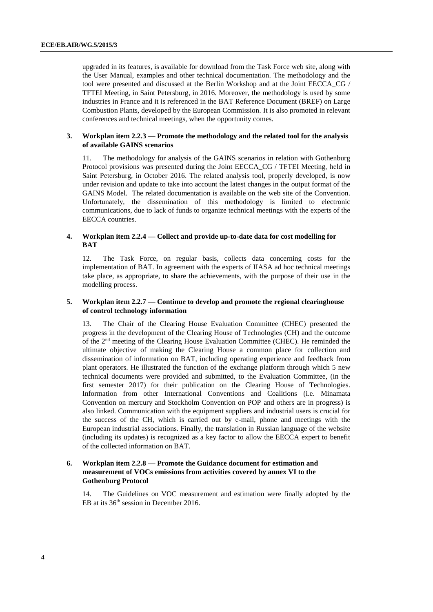upgraded in its features, is available for download from the Task Force web site, along with the User Manual, examples and other technical documentation. The methodology and the tool were presented and discussed at the Berlin Workshop and at the Joint EECCA\_CG / TFTEI Meeting, in Saint Petersburg, in 2016. Moreover, the methodology is used by some industries in France and it is referenced in the BAT Reference Document (BREF) on Large Combustion Plants, developed by the European Commission. It is also promoted in relevant conferences and technical meetings, when the opportunity comes.

#### **3. Workplan item 2.2.3 — Promote the methodology and the related tool for the analysis of available GAINS scenarios**

11. The methodology for analysis of the GAINS scenarios in relation with Gothenburg Protocol provisions was presented during the Joint EECCA\_CG / TFTEI Meeting, held in Saint Petersburg, in October 2016. The related analysis tool, properly developed, is now under revision and update to take into account the latest changes in the output format of the GAINS Model. The related documentation is available on the web site of the Convention. Unfortunately, the dissemination of this methodology is limited to electronic communications, due to lack of funds to organize technical meetings with the experts of the EECCA countries.

#### **4. Workplan item 2.2.4 — Collect and provide up-to-date data for cost modelling for BAT**

12. The Task Force, on regular basis, collects data concerning costs for the implementation of BAT. In agreement with the experts of IIASA ad hoc technical meetings take place, as appropriate, to share the achievements, with the purpose of their use in the modelling process.

#### **5. Workplan item 2.2.7 — Continue to develop and promote the regional clearinghouse of control technology information**

13. The Chair of the Clearing House Evaluation Committee (CHEC) presented the progress in the development of the Clearing House of Technologies (CH) and the outcome of the 2nd meeting of the Clearing House Evaluation Committee (CHEC). He reminded the ultimate objective of making the Clearing House a common place for collection and dissemination of information on BAT, including operating experience and feedback from plant operators. He illustrated the function of the exchange platform through which 5 new technical documents were provided and submitted, to the Evaluation Committee, (in the first semester 2017) for their publication on the Clearing House of Technologies. Information from other International Conventions and Coalitions (i.e. Minamata Convention on mercury and Stockholm Convention on POP and others are in progress) is also linked. Communication with the equipment suppliers and industrial users is crucial for the success of the CH, which is carried out by e-mail, phone and meetings with the European industrial associations. Finally, the translation in Russian language of the website (including its updates) is recognized as a key factor to allow the EECCA expert to benefit of the collected information on BAT.

### **6. Workplan item 2.2.8 — Promote the Guidance document for estimation and measurement of VOCs emissions from activities covered by annex VI to the Gothenburg Protocol**

14. The Guidelines on VOC measurement and estimation were finally adopted by the EB at its 36<sup>th</sup> session in December 2016.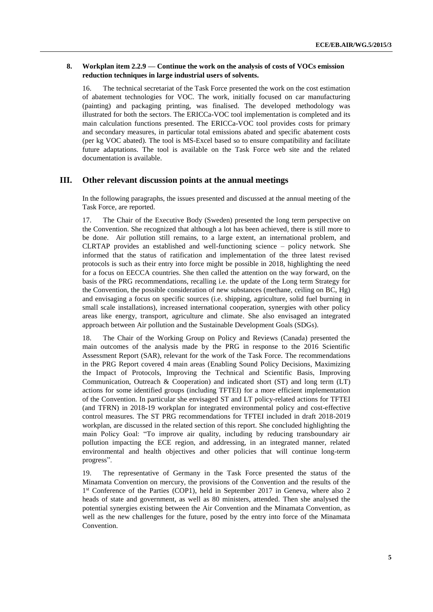#### **8. Workplan item 2.2.9 — Continue the work on the analysis of costs of VOCs emission reduction techniques in large industrial users of solvents.**

16. The technical secretariat of the Task Force presented the work on the cost estimation of abatement technologies for VOC. The work, initially focused on car manufacturing (painting) and packaging printing, was finalised. The developed methodology was illustrated for both the sectors. The ERICCa-VOC tool implementation is completed and its main calculation functions presented. The ERICCa-VOC tool provides costs for primary and secondary measures, in particular total emissions abated and specific abatement costs (per kg VOC abated). The tool is MS-Excel based so to ensure compatibility and facilitate future adaptations. The tool is available on the Task Force web site and the related documentation is available.

## **III. Other relevant discussion points at the annual meetings**

In the following paragraphs, the issues presented and discussed at the annual meeting of the Task Force, are reported.

17. The Chair of the Executive Body (Sweden) presented the long term perspective on the Convention. She recognized that although a lot has been achieved, there is still more to be done. Air pollution still remains, to a large extent, an international problem, and CLRTAP provides an established and well-functioning science – policy network. She informed that the status of ratification and implementation of the three latest revised protocols is such as their entry into force might be possible in 2018, highlighting the need for a focus on EECCA countries. She then called the attention on the way forward, on the basis of the PRG recommendations, recalling i.e. the update of the Long term Strategy for the Convention, the possible consideration of new substances (methane, ceiling on BC, Hg) and envisaging a focus on specific sources (i.e. shipping, agriculture, solid fuel burning in small scale installations), increased international cooperation, synergies with other policy areas like energy, transport, agriculture and climate. She also envisaged an integrated approach between Air pollution and the Sustainable Development Goals (SDGs).

18. The Chair of the Working Group on Policy and Reviews (Canada) presented the main outcomes of the analysis made by the PRG in response to the 2016 Scientific Assessment Report (SAR), relevant for the work of the Task Force. The recommendations in the PRG Report covered 4 main areas (Enabling Sound Policy Decisions, Maximizing the Impact of Protocols, Improving the Technical and Scientific Basis, Improving Communication, Outreach & Cooperation) and indicated short (ST) and long term (LT) actions for some identified groups (including TFTEI) for a more efficient implementation of the Convention. In particular she envisaged ST and LT policy-related actions for TFTEI (and TFRN) in 2018-19 workplan for integrated environmental policy and cost-effective control measures. The ST PRG recommendations for TFTEI included in draft 2018-2019 workplan, are discussed in the related section of this report. She concluded highlighting the main Policy Goal: "To improve air quality, including by reducing transboundary air pollution impacting the ECE region, and addressing, in an integrated manner, related environmental and health objectives and other policies that will continue long-term progress".

19. The representative of Germany in the Task Force presented the status of the Minamata Convention on mercury, the provisions of the Convention and the results of the 1<sup>st</sup> Conference of the Parties (COP1), held in September 2017 in Geneva, where also 2 heads of state and government, as well as 80 ministers, attended. Then she analysed the potential synergies existing between the Air Convention and the Minamata Convention, as well as the new challenges for the future, posed by the entry into force of the Minamata Convention.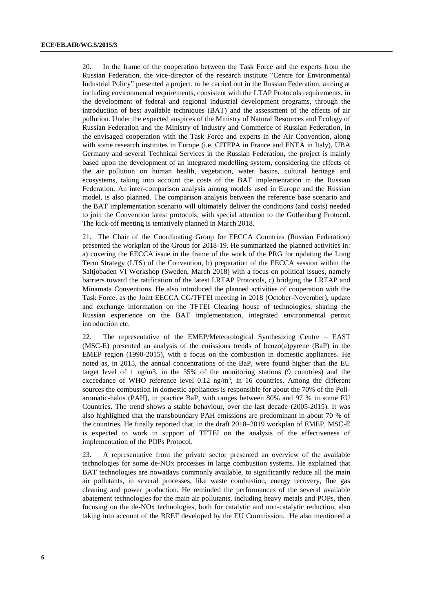20. In the frame of the cooperation between the Task Force and the experts from the Russian Federation, the vice-director of the research institute "Centre for Environmental Industrial Policy" presented a project, to be carried out in the Russian Federation, aiming at including environmental requirements, consistent with the LTAP Protocols requirements, in the development of federal and regional industrial development programs, through the introduction of best available techniques (BAT) and the assessment of the effects of air pollution. Under the expected auspices of the Ministry of Natural Resources and Ecology of Russian Federation and the Ministry of Industry and Commerce of Russian Federation, in the envisaged cooperation with the Task Force and experts in the Air Convention, along with some research institutes in Europe (i.e. CITEPA in France and ENEA in Italy), UBA Germany and several Technical Services in the Russian Federation, the project is mainly based upon the development of an integrated modelling system, considering the effects of the air pollution on human health, vegetation, water basins, cultural heritage and ecosystems, taking into account the costs of the BAT implementation in the Russian Federation. An inter-comparison analysis among models used in Europe and the Russian model, is also planned. The comparison analysis between the reference base scenario and the BAT implementation scenario will ultimately deliver the conditions (and costs) needed to join the Convention latest protocols, with special attention to the Gothenburg Protocol. The kick-off meeting is tentatively planned in March 2018.

21. The Chair of the Coordinating Group for EECCA Countries (Russian Federation) presented the workplan of the Group for 2018-19. He summarized the planned activities in: a) covering the EECCA issue in the frame of the work of the PRG for updating the Long Term Strategy (LTS) of the Convention, b) preparation of the EECCA session within the Saltjobaden VI Workshop (Sweden, March 2018) with a focus on political issues, namely barriers toward the ratification of the latest LRTAP Protocols, c) bridging the LRTAP and Minamata Conventions. He also introduced the planned activities of cooperation with the Task Force, as the Joint EECCA CG/TFTEI meeting in 2018 (October-November), update and exchange information on the TFTEI Clearing house of technologies, sharing the Russian experience on the BAT implementation, integrated environmental permit introduction etc.

22. The representative of the EMEP/Meteorological Synthesizing Centre – EAST (MSC-E) presented an analysis of the emissions trends of benzo(a)pyrene (BaP) in the EMEP region (1990-2015), with a focus on the combustion in domestic appliances. He noted as, in 2015, the annual concentrations of the BaP, were found higher than the EU target level of 1 ng/m3, in the 35% of the monitoring stations (9 countries) and the exceedance of WHO reference level  $0.12 \text{ ng/m}^3$ , in 16 countries. Among the different sources the combustion in domestic appliances is responsible for about the 70% of the Poliaromatic-halos (PAH), in practice BaP, with ranges between 80% and 97 % in some EU Countries. The trend shows a stable behaviour, over the last decade (2005-2015). It was also highlighted that the transboundary PAH emissions are predominant in about 70 % of the countries. He finally reported that, in the draft 2018–2019 workplan of EMEP, MSC-E is expected to work in support of TFTEI on the analysis of the effectiveness of implementation of the POPs Protocol.

23. A representative from the private sector presented an overview of the available technologies for some de-NOx processes in large combustion systems. He explained that BAT technologies are nowadays commonly available, to significantly reduce all the main air pollutants, in several processes, like waste combustion, energy recovery, flue gas cleaning and power production. He reminded the performances of the several available abatement technologies for the main air pollutants, including heavy metals and POPs, then focusing on the de-NOx technologies, both for catalytic and non-catalytic reduction, also taking into account of the BREF developed by the EU Commission. He also mentioned a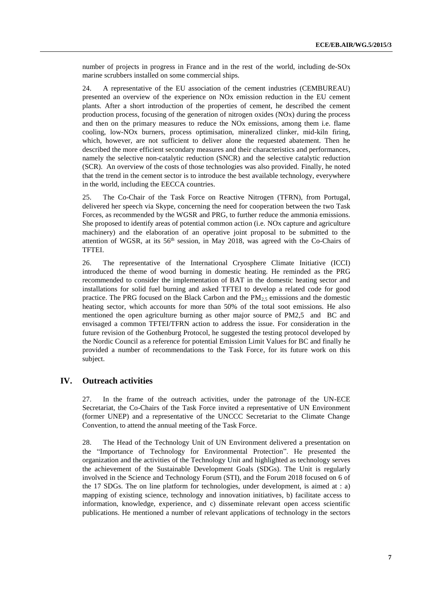number of projects in progress in France and in the rest of the world, including de-SOx marine scrubbers installed on some commercial ships.

24. A representative of the EU association of the cement industries (CEMBUREAU) presented an overview of the experience on NOx emission reduction in the EU cement plants. After a short introduction of the properties of cement, he described the cement production process, focusing of the generation of nitrogen oxides (NOx) during the process and then on the primary measures to reduce the NOx emissions, among them i.e. flame cooling, low-NOx burners, process optimisation, mineralized clinker, mid-kiln firing, which, however, are not sufficient to deliver alone the requested abatement. Then he described the more efficient secondary measures and their characteristics and performances, namely the selective non-catalytic reduction (SNCR) and the selective catalytic reduction (SCR). An overview of the costs of those technologies was also provided. Finally, he noted that the trend in the cement sector is to introduce the best available technology, everywhere in the world, including the EECCA countries.

25. The Co-Chair of the Task Force on Reactive Nitrogen (TFRN), from Portugal, delivered her speech via Skype, concerning the need for cooperation between the two Task Forces, as recommended by the WGSR and PRG, to further reduce the ammonia emissions. She proposed to identify areas of potential common action (i.e. NOx capture and agriculture machinery) and the elaboration of an operative joint proposal to be submitted to the attention of WGSR, at its 56<sup>th</sup> session, in May 2018, was agreed with the Co-Chairs of TFTEI.

26. The representative of the International Cryosphere Climate Initiative (ICCI) introduced the theme of wood burning in domestic heating. He reminded as the PRG recommended to consider the implementation of BAT in the domestic heating sector and installations for solid fuel burning and asked TFTEI to develop a related code for good practice. The PRG focused on the Black Carbon and the PM $_{2,5}$  emissions and the domestic heating sector, which accounts for more than 50% of the total soot emissions. He also mentioned the open agriculture burning as other major source of PM2,5 and BC and envisaged a common TFTEI/TFRN action to address the issue. For consideration in the future revision of the Gothenburg Protocol, he suggested the testing protocol developed by the Nordic Council as a reference for potential Emission Limit Values for BC and finally he provided a number of recommendations to the Task Force, for its future work on this subject.

## **IV. Outreach activities**

27. In the frame of the outreach activities, under the patronage of the UN-ECE Secretariat, the Co-Chairs of the Task Force invited a representative of UN Environment (former UNEP) and a representative of the UNCCC Secretariat to the Climate Change Convention, to attend the annual meeting of the Task Force.

28. The Head of the Technology Unit of UN Environment delivered a presentation on the "Importance of Technology for Environmental Protection". He presented the organization and the activities of the Technology Unit and highlighted as technology serves the achievement of the Sustainable Development Goals (SDGs). The Unit is regularly involved in the Science and Technology Forum (STI), and the Forum 2018 focused on 6 of the 17 SDGs. The on line platform for technologies, under development, is aimed at : a) mapping of existing science, technology and innovation initiatives, b) facilitate access to information, knowledge, experience, and c) disseminate relevant open access scientific publications. He mentioned a number of relevant applications of technology in the sectors